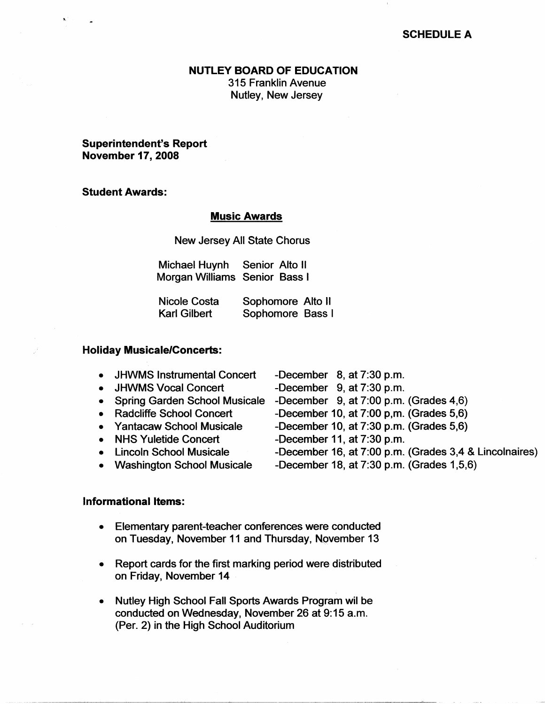# **SCHEDULE A**

#### **NUTLEY BOARD OF EDUCATION**

315 Franklin Avenue Nutley, New Jersey

**Superintendent's Report November 17, 2008** 

## **Student Awards:**

### **Music Awards**

New Jersey All State Chorus

| Michael Huynh                 | Senior Alto II |  |
|-------------------------------|----------------|--|
| Morgan Williams Senior Bass I |                |  |

| Nicole Costa | Sophomore Alto II |
|--------------|-------------------|
| Karl Gilbert | Sophomore Bass I  |

### **Holiday Musicale/Concerts:**

|  |  | <b>JHWMS Instrumental Concert</b> |  | -December $8$ , at $7:30$ p.m. |  |
|--|--|-----------------------------------|--|--------------------------------|--|
|--|--|-----------------------------------|--|--------------------------------|--|

- JHWMS Vocal Concert -December 9, at 7:30 p.m.
- 
- 
- 
- 
- 
- 
- -
- Spring Garden School Musicale -December 9, at 7:00 p.m. (Grades 4,6)
- Radcliffe School Concert -December 10, at 7:00 p,m. (Grades 5,6)
- Yantacaw School Musicale -December 10, at 7:30 p.m. (Grades 5,6)
- NHS Yuletide Concert -December 11, at 7:30 p.m.
- Lincoln School Musicale -December 16, at 7:00 p.m. (Grades 3,4 & Lincolnaires)
- Washington School Musicale -December 18, at 7:30 p.m. (Grades 1,5,6)

### **Informational Items:**

- Elementary parent-teacher conferences were conducted on Tuesday, November 11 and Thursday, November 13
- Report cards for the first marking period were distributed on Friday, November 14
- Nutley High School Fall Sports Awards Program wil be conducted on Wednesday, November 26 at 9: 15 a.m. (Per. 2) in the High School Auditorium